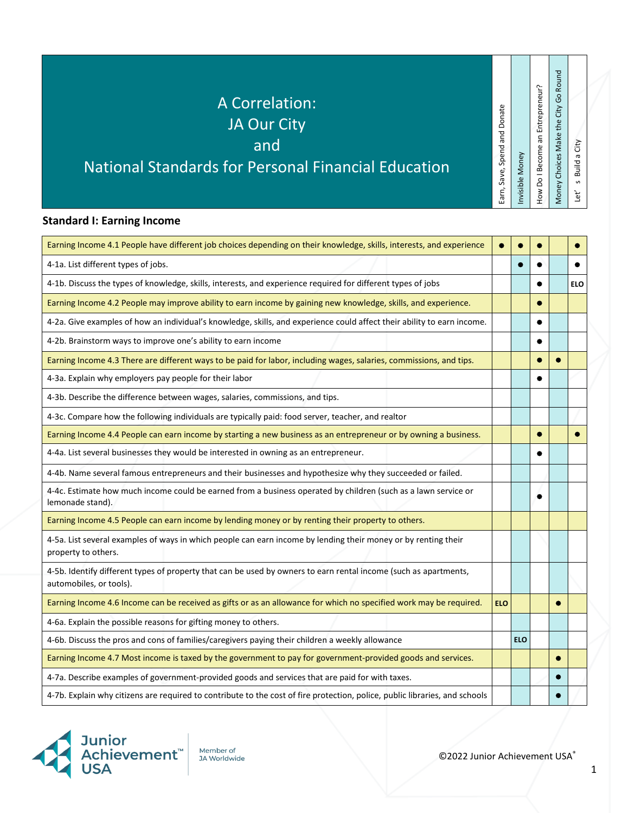## A Correlation:

### JA Our City

and

### National Standards for Personal Financial Education

#### **Standard I: Earning Income**

| Earning Income 4.1 People have different job choices depending on their knowledge, skills, interests, and experience                        | $\bullet$  |            |   |            |
|---------------------------------------------------------------------------------------------------------------------------------------------|------------|------------|---|------------|
| 4-1a. List different types of jobs.                                                                                                         |            |            |   |            |
| 4-1b. Discuss the types of knowledge, skills, interests, and experience required for different types of jobs                                |            |            |   | <b>ELO</b> |
| Earning Income 4.2 People may improve ability to earn income by gaining new knowledge, skills, and experience.                              |            |            |   |            |
| 4-2a. Give examples of how an individual's knowledge, skills, and experience could affect their ability to earn income.                     |            |            |   |            |
| 4-2b. Brainstorm ways to improve one's ability to earn income                                                                               |            |            |   |            |
| Earning Income 4.3 There are different ways to be paid for labor, including wages, salaries, commissions, and tips.                         |            |            |   |            |
| 4-3a. Explain why employers pay people for their labor                                                                                      |            |            |   |            |
| 4-3b. Describe the difference between wages, salaries, commissions, and tips.                                                               |            |            |   |            |
| 4-3c. Compare how the following individuals are typically paid: food server, teacher, and realtor                                           |            |            |   |            |
| Earning Income 4.4 People can earn income by starting a new business as an entrepreneur or by owning a business.                            |            |            | ٠ |            |
| 4-4a. List several businesses they would be interested in owning as an entrepreneur.                                                        |            |            |   |            |
| 4-4b. Name several famous entrepreneurs and their businesses and hypothesize why they succeeded or failed.                                  |            |            |   |            |
| 4-4c. Estimate how much income could be earned from a business operated by children (such as a lawn service or<br>lemonade stand).          |            |            |   |            |
| Earning Income 4.5 People can earn income by lending money or by renting their property to others.                                          |            |            |   |            |
| 4-5a. List several examples of ways in which people can earn income by lending their money or by renting their<br>property to others.       |            |            |   |            |
| 4-5b. Identify different types of property that can be used by owners to earn rental income (such as apartments,<br>automobiles, or tools). |            |            |   |            |
| Earning Income 4.6 Income can be received as gifts or as an allowance for which no specified work may be required.                          | <b>ELO</b> |            |   |            |
| 4-6a. Explain the possible reasons for gifting money to others.                                                                             |            |            |   |            |
| 4-6b. Discuss the pros and cons of families/caregivers paying their children a weekly allowance                                             |            | <b>ELO</b> |   |            |
| Earning Income 4.7 Most income is taxed by the government to pay for government-provided goods and services.                                |            |            |   |            |
| 4-7a. Describe examples of government-provided goods and services that are paid for with taxes.                                             |            |            |   |            |
| 4-7b. Explain why citizens are required to contribute to the cost of fire protection, police, public libraries, and schools                 |            |            |   |            |



Member of **JA Worldwide** 

©2022 Junior Achievement USA®

Earn, Save, Spend and Donate

Earn, Save, Spend and Donate

Invisible Money

Invisible Money

How Do I Become an Entrepreneur? Money Choices Make the City Go Round

Money Choices Make the City Go Round How Do I Become an Entrepreneur?

Let' s Build a City

Let' $\overline{\phantom{a}}$ 

s Build a City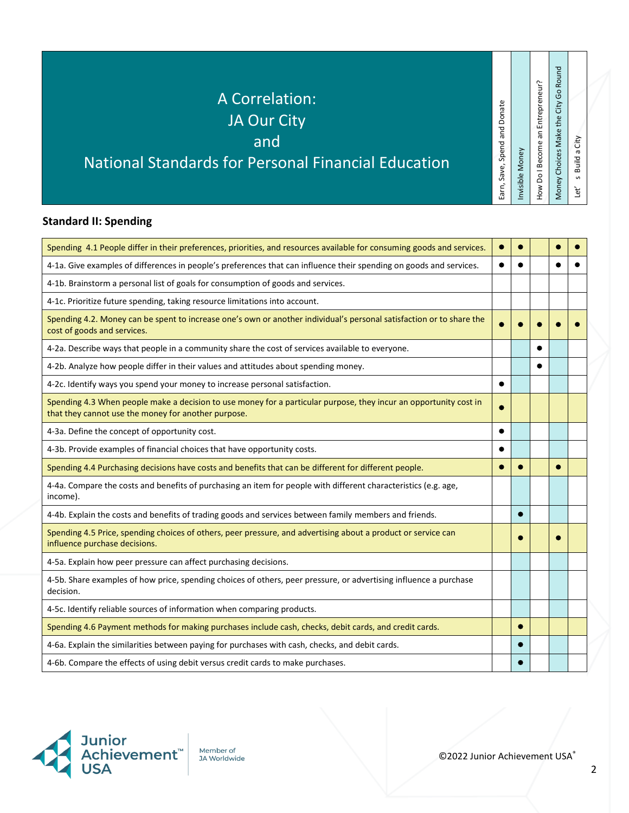#### A Correlation: JA Our City

and

### National Standards for Personal Financial Education

#### **Standard II: Spending**

| Spending 4.1 People differ in their preferences, priorities, and resources available for consuming goods and services.                                                   | $\bullet$ |           |  |  |
|--------------------------------------------------------------------------------------------------------------------------------------------------------------------------|-----------|-----------|--|--|
| 4-1a. Give examples of differences in people's preferences that can influence their spending on goods and services.                                                      |           |           |  |  |
| 4-1b. Brainstorm a personal list of goals for consumption of goods and services.                                                                                         |           |           |  |  |
| 4-1c. Prioritize future spending, taking resource limitations into account.                                                                                              |           |           |  |  |
| Spending 4.2. Money can be spent to increase one's own or another individual's personal satisfaction or to share the<br>cost of goods and services.                      |           |           |  |  |
| 4-2a. Describe ways that people in a community share the cost of services available to everyone.                                                                         |           |           |  |  |
| 4-2b. Analyze how people differ in their values and attitudes about spending money.                                                                                      |           |           |  |  |
| 4-2c. Identify ways you spend your money to increase personal satisfaction.                                                                                              | $\bullet$ |           |  |  |
| Spending 4.3 When people make a decision to use money for a particular purpose, they incur an opportunity cost in<br>that they cannot use the money for another purpose. | $\bullet$ |           |  |  |
| 4-3a. Define the concept of opportunity cost.                                                                                                                            | $\bullet$ |           |  |  |
| 4-3b. Provide examples of financial choices that have opportunity costs.                                                                                                 | $\bullet$ |           |  |  |
| Spending 4.4 Purchasing decisions have costs and benefits that can be different for different people.                                                                    | $\bullet$ |           |  |  |
| 4-4a. Compare the costs and benefits of purchasing an item for people with different characteristics (e.g. age,<br>income).                                              |           |           |  |  |
| 4-4b. Explain the costs and benefits of trading goods and services between family members and friends.                                                                   |           |           |  |  |
| Spending 4.5 Price, spending choices of others, peer pressure, and advertising about a product or service can<br>influence purchase decisions.                           |           |           |  |  |
| 4-5a. Explain how peer pressure can affect purchasing decisions.                                                                                                         |           |           |  |  |
| 4-5b. Share examples of how price, spending choices of others, peer pressure, or advertising influence a purchase<br>decision.                                           |           |           |  |  |
| 4-5c. Identify reliable sources of information when comparing products.                                                                                                  |           |           |  |  |
| Spending 4.6 Payment methods for making purchases include cash, checks, debit cards, and credit cards.                                                                   |           | $\bullet$ |  |  |
| 4-6a. Explain the similarities between paying for purchases with cash, checks, and debit cards.                                                                          |           |           |  |  |
| 4-6b. Compare the effects of using debit versus credit cards to make purchases.                                                                                          |           |           |  |  |



Member of **JA Worldwide** 

©2022 Junior Achievement USA®

Earn, Save, Spend and Donate

Earn, Save, Spend and Donate

Invisible Money

Invisible Money

How Do I Become an Entrepreneur? Money Choices Make the City Go Round

How Do I Become an Entrepreneur?

Money Choices Make the City Go Round

Let' s Build a City

Let'  $\,$ 

s Build a City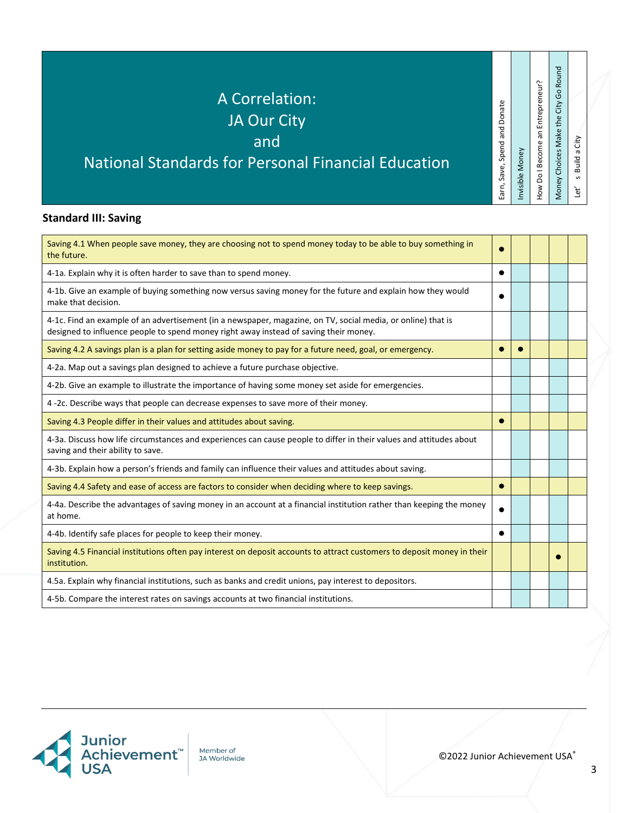## A Correlation:

### JA Our City

and

## National Standards for Personal Financial Education

#### **Standard III: Saving**

| Saving 4.1 When people save money, they are choosing not to spend money today to be able to buy something in<br>the future.                                                                           |   |  |  |
|-------------------------------------------------------------------------------------------------------------------------------------------------------------------------------------------------------|---|--|--|
| 4-1a. Explain why it is often harder to save than to spend money.                                                                                                                                     | ٠ |  |  |
| 4-1b. Give an example of buying something now versus saving money for the future and explain how they would<br>make that decision.                                                                    |   |  |  |
| 4-1c. Find an example of an advertisement (in a newspaper, magazine, on TV, social media, or online) that is<br>designed to influence people to spend money right away instead of saving their money. |   |  |  |
| Saving 4.2 A savings plan is a plan for setting aside money to pay for a future need, goal, or emergency.                                                                                             |   |  |  |
| 4-2a. Map out a savings plan designed to achieve a future purchase objective.                                                                                                                         |   |  |  |
| 4-2b. Give an example to illustrate the importance of having some money set aside for emergencies.                                                                                                    |   |  |  |
| 4-2c. Describe ways that people can decrease expenses to save more of their money.                                                                                                                    |   |  |  |
| Saving 4.3 People differ in their values and attitudes about saving.                                                                                                                                  |   |  |  |
| 4-3a. Discuss how life circumstances and experiences can cause people to differ in their values and attitudes about<br>saving and their ability to save.                                              |   |  |  |
| 4-3b. Explain how a person's friends and family can influence their values and attitudes about saving.                                                                                                |   |  |  |
| Saving 4.4 Safety and ease of access are factors to consider when deciding where to keep savings.                                                                                                     | ۰ |  |  |
| 4-4a. Describe the advantages of saving money in an account at a financial institution rather than keeping the money<br>at home.                                                                      |   |  |  |
| 4-4b. Identify safe places for people to keep their money.                                                                                                                                            | ● |  |  |
| Saving 4.5 Financial institutions often pay interest on deposit accounts to attract customers to deposit money in their<br>institution.                                                               |   |  |  |
| 4.5a. Explain why financial institutions, such as banks and credit unions, pay interest to depositors.                                                                                                |   |  |  |
| 4-5b. Compare the interest rates on savings accounts at two financial institutions.                                                                                                                   |   |  |  |



Member of **JA Worldwide** 

©2022 Junior Achievement USA®

Earn, Save, Spend and Donate

Earn, Save, Spend and Donate

Invisible Money

Invisible Money

How Do I Become an Entrepreneur? Money Choices Make the City Go Round

Money Choices Make the City Go Round How Do I Become an Entrepreneur?

Let' s Build a City

Let'  $\,$ 

s Build a City

3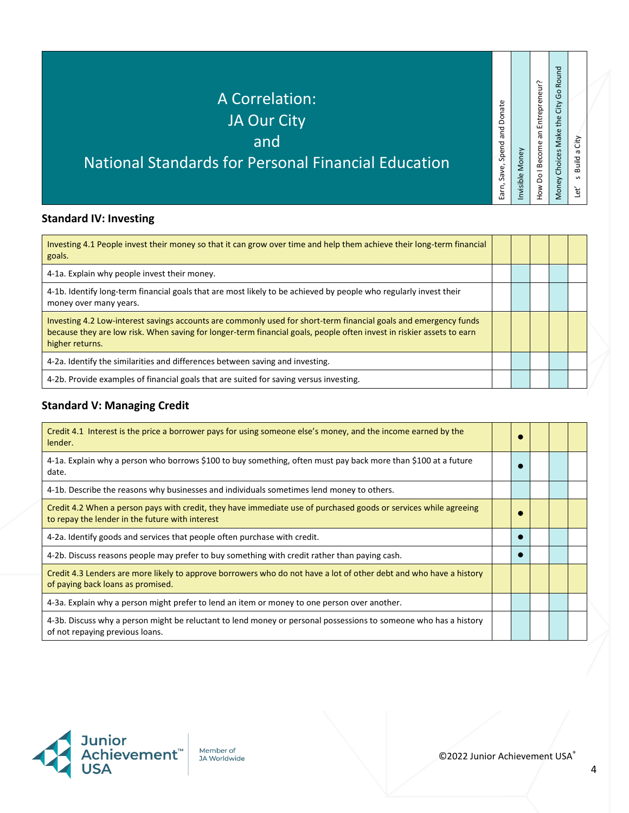# A Correlation:

### JA Our City

and

## National Standards for Personal Financial Education

#### **Standard IV: Investing**

| Investing 4.1 People invest their money so that it can grow over time and help them achieve their long-term financial<br>goals.                                                                                                                              |  |  |  |
|--------------------------------------------------------------------------------------------------------------------------------------------------------------------------------------------------------------------------------------------------------------|--|--|--|
| 4-1a. Explain why people invest their money.                                                                                                                                                                                                                 |  |  |  |
| 4-1b. Identify long-term financial goals that are most likely to be achieved by people who regularly invest their<br>money over many years.                                                                                                                  |  |  |  |
| Investing 4.2 Low-interest savings accounts are commonly used for short-term financial goals and emergency funds<br>because they are low risk. When saving for longer-term financial goals, people often invest in riskier assets to earn<br>higher returns. |  |  |  |
| 4-2a. Identify the similarities and differences between saving and investing.                                                                                                                                                                                |  |  |  |
| 4-2b. Provide examples of financial goals that are suited for saving versus investing.                                                                                                                                                                       |  |  |  |

#### **Standard V: Managing Credit**

| Credit 4.1 Interest is the price a borrower pays for using someone else's money, and the income earned by the<br>lender.                                            |  |  |  |
|---------------------------------------------------------------------------------------------------------------------------------------------------------------------|--|--|--|
| 4-1a. Explain why a person who borrows \$100 to buy something, often must pay back more than \$100 at a future<br>date.                                             |  |  |  |
| 4-1b. Describe the reasons why businesses and individuals sometimes lend money to others.                                                                           |  |  |  |
| Credit 4.2 When a person pays with credit, they have immediate use of purchased goods or services while agreeing<br>to repay the lender in the future with interest |  |  |  |
| 4-2a. Identify goods and services that people often purchase with credit.                                                                                           |  |  |  |
| 4-2b. Discuss reasons people may prefer to buy something with credit rather than paying cash.                                                                       |  |  |  |
| Credit 4.3 Lenders are more likely to approve borrowers who do not have a lot of other debt and who have a history<br>of paying back loans as promised.             |  |  |  |
| 4-3a. Explain why a person might prefer to lend an item or money to one person over another.                                                                        |  |  |  |
| 4-3b. Discuss why a person might be reluctant to lend money or personal possessions to someone who has a history<br>of not repaying previous loans.                 |  |  |  |



Member of **JA Worldwide**  Earn, Save, Spend and Donate

Earn, Save, Spend and Donate

Invisible Money

Invisible Money

How Do I Become an Entrepreneur? Money Choices Make the City Go Round

Money Choices Make the City Go Round How Do I Become an Entrepreneur?

Let' s Build a City

Let $^{\prime}$ 

s Build a City